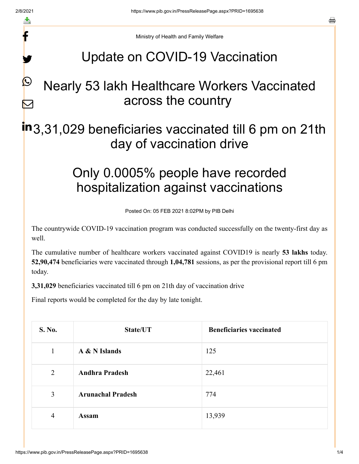f

y.

 $\boldsymbol{Q}$ 

 $\sum$ 

a

Ministry of Health and Family Welfare

# Update on COVID-19 Vaccination

# Nearly 53 lakh Healthcare Workers Vaccinated across the country

# in<sub>3,31,029</sub> beneficiaries vaccinated till 6 pm on 21th day of vaccination drive

# Only 0.0005% people have recorded hospitalization against vaccinations

Posted On: 05 FEB 2021 8:02PM by PIB Delhi

The countrywide COVID-19 vaccination program was conducted successfully on the twenty-first day as well.

The cumulative number of healthcare workers vaccinated against COVID19 is nearly **53 lakhs** today. **52,90,474** beneficiaries were vaccinated through **1,04,781** sessions, as per the provisional report till 6 pm today.

**3,31,029** beneficiaries vaccinated till 6 pm on 21th day of vaccination drive

Final reports would be completed for the day by late tonight.

| S. No.         | State/UT                 | <b>Beneficiaries vaccinated</b> |
|----------------|--------------------------|---------------------------------|
| 1              | A & N Islands            | 125                             |
| $\overline{2}$ | <b>Andhra Pradesh</b>    | 22,461                          |
| $\mathfrak{Z}$ | <b>Arunachal Pradesh</b> | 774                             |
| $\overline{4}$ | <b>Assam</b>             | 13,939                          |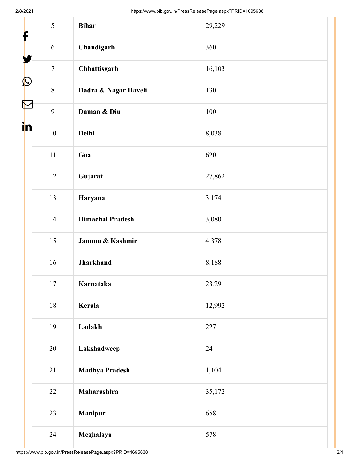| f          | 5              | <b>Bihar</b>            | 29,229 |
|------------|----------------|-------------------------|--------|
|            | 6              | Chandigarh              | 360    |
|            | $\overline{7}$ | Chhattisgarh            | 16,103 |
| $\bigcirc$ | $8\,$          | Dadra & Nagar Haveli    | 130    |
| Ñ          | 9              | Daman & Diu             | 100    |
| in         | $10\,$         | Delhi                   | 8,038  |
|            | 11             | Goa                     | 620    |
|            | 12             | Gujarat                 | 27,862 |
|            | 13             | Haryana                 | 3,174  |
|            | 14             | <b>Himachal Pradesh</b> | 3,080  |
|            | 15             | Jammu & Kashmir         | 4,378  |
|            | 16             | <b>Jharkhand</b>        | 8,188  |
|            | $17\,$         | Karnataka               | 23,291 |
|            | 18             | Kerala                  | 12,992 |
|            | 19             | Ladakh                  | 227    |
|            | 20             | Lakshadweep             | 24     |
|            | 21             | <b>Madhya Pradesh</b>   | 1,104  |
|            | 22             | Maharashtra             | 35,172 |
|            | 23             | <b>Manipur</b>          | 658    |
|            | 24             | Meghalaya               | 578    |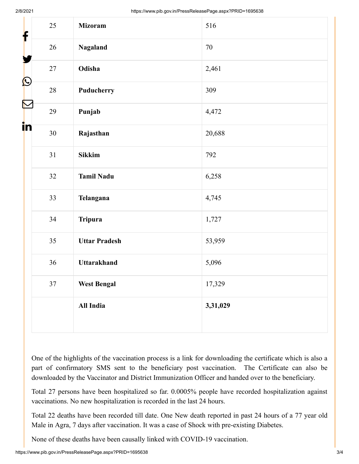| f                    | 25     | <b>Mizoram</b>       | 516      |
|----------------------|--------|----------------------|----------|
|                      | $26\,$ | <b>Nagaland</b>      | 70       |
| Y                    | $27\,$ | Odisha               | 2,461    |
| $\bigcirc$           | $28\,$ | Puducherry           | 309      |
| $\color{red} \nabla$ | 29     | Punjab               | 4,472    |
| in                   | 30     | Rajasthan            | 20,688   |
|                      | 31     | <b>Sikkim</b>        | 792      |
|                      | 32     | <b>Tamil Nadu</b>    | 6,258    |
|                      | 33     | Telangana            | 4,745    |
|                      | 34     | <b>Tripura</b>       | 1,727    |
|                      | 35     | <b>Uttar Pradesh</b> | 53,959   |
|                      | 36     | <b>Uttarakhand</b>   | 5,096    |
|                      | $37\,$ | <b>West Bengal</b>   | 17,329   |
|                      |        | All India            | 3,31,029 |

One of the highlights of the vaccination process is a link for downloading the certificate which is also a part of confirmatory SMS sent to the beneficiary post vaccination. The Certificate can also be downloaded by the Vaccinator and District Immunization Officer and handed over to the beneficiary.

Total 27 persons have been hospitalized so far. 0.0005% people have recorded hospitalization against vaccinations. No new hospitalization is recorded in the last 24 hours.

Total 22 deaths have been recorded till date. One New death reported in past 24 hours of a 77 year old Male in Agra, 7 days after vaccination. It was a case of Shock with pre-existing Diabetes.

None of these deaths have been causally linked with COVID-19 vaccination.